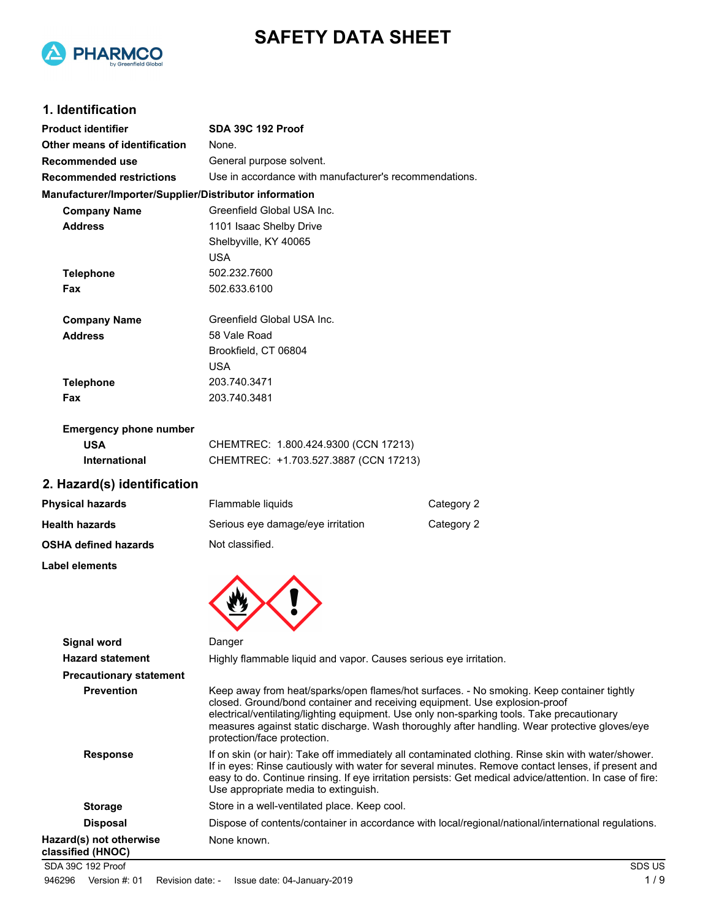



## **1. Identification**

| <b>Product identifier</b>                              | <b>SDA 39C 192 Proof</b>                                                                                                                                                                                                                                                                               |            |
|--------------------------------------------------------|--------------------------------------------------------------------------------------------------------------------------------------------------------------------------------------------------------------------------------------------------------------------------------------------------------|------------|
| Other means of identification                          | None.                                                                                                                                                                                                                                                                                                  |            |
| Recommended use                                        | General purpose solvent.                                                                                                                                                                                                                                                                               |            |
| <b>Recommended restrictions</b>                        | Use in accordance with manufacturer's recommendations.                                                                                                                                                                                                                                                 |            |
| Manufacturer/Importer/Supplier/Distributor information |                                                                                                                                                                                                                                                                                                        |            |
| <b>Company Name</b>                                    | Greenfield Global USA Inc.                                                                                                                                                                                                                                                                             |            |
| <b>Address</b>                                         | 1101 Isaac Shelby Drive                                                                                                                                                                                                                                                                                |            |
|                                                        | Shelbyville, KY 40065                                                                                                                                                                                                                                                                                  |            |
|                                                        | <b>USA</b>                                                                                                                                                                                                                                                                                             |            |
| <b>Telephone</b>                                       | 502.232.7600                                                                                                                                                                                                                                                                                           |            |
| Fax                                                    | 502.633.6100                                                                                                                                                                                                                                                                                           |            |
| <b>Company Name</b>                                    | Greenfield Global USA Inc.                                                                                                                                                                                                                                                                             |            |
| <b>Address</b>                                         | 58 Vale Road                                                                                                                                                                                                                                                                                           |            |
|                                                        | Brookfield, CT 06804                                                                                                                                                                                                                                                                                   |            |
|                                                        | <b>USA</b>                                                                                                                                                                                                                                                                                             |            |
| <b>Telephone</b>                                       | 203.740.3471                                                                                                                                                                                                                                                                                           |            |
| Fax                                                    | 203.740.3481                                                                                                                                                                                                                                                                                           |            |
| <b>Emergency phone number</b>                          |                                                                                                                                                                                                                                                                                                        |            |
| <b>USA</b>                                             | CHEMTREC: 1.800.424.9300 (CCN 17213)                                                                                                                                                                                                                                                                   |            |
| <b>International</b>                                   | CHEMTREC: +1.703.527.3887 (CCN 17213)                                                                                                                                                                                                                                                                  |            |
| 2. Hazard(s) identification                            |                                                                                                                                                                                                                                                                                                        |            |
| <b>Physical hazards</b>                                | Flammable liquids                                                                                                                                                                                                                                                                                      | Category 2 |
| <b>Health hazards</b>                                  | Serious eye damage/eye irritation                                                                                                                                                                                                                                                                      | Category 2 |
| <b>OSHA defined hazards</b>                            | Not classified.                                                                                                                                                                                                                                                                                        |            |
| Label elements                                         |                                                                                                                                                                                                                                                                                                        |            |
|                                                        |                                                                                                                                                                                                                                                                                                        |            |
| Signal word                                            | Danger                                                                                                                                                                                                                                                                                                 |            |
| <b>Hazard statement</b>                                | Highly flammable liquid and vapor. Causes serious eye irritation                                                                                                                                                                                                                                       |            |
| <b>Precautionary statement</b>                         |                                                                                                                                                                                                                                                                                                        |            |
| <b>Prevention</b>                                      | Keep away from heat/sparks/open flames/hot surfaces. - No sm<br>closed. Ground/bond container and receiving equipment. Use ex<br>electrical/ventilating/lighting equipment. Use only non-sparking to<br>measures against static discharge. Wash thoroughly after handli<br>protection/face protection. |            |
| <b>Response</b>                                        | If on skin (or hair): Take off immediately all contaminated clothin<br>If in eves: Rinse cautiously with water for several minutes. Remo                                                                                                                                                               |            |

| <b>Hazard statement</b>                      | Highly flammable liquid and vapor. Causes serious eye irritation.                                                                                                                                                                                                                                                                                                                                     |
|----------------------------------------------|-------------------------------------------------------------------------------------------------------------------------------------------------------------------------------------------------------------------------------------------------------------------------------------------------------------------------------------------------------------------------------------------------------|
| <b>Precautionary statement</b>               |                                                                                                                                                                                                                                                                                                                                                                                                       |
| <b>Prevention</b>                            | Keep away from heat/sparks/open flames/hot surfaces. - No smoking. Keep container tightly<br>closed. Ground/bond container and receiving equipment. Use explosion-proof<br>electrical/ventilating/lighting equipment. Use only non-sparking tools. Take precautionary<br>measures against static discharge. Wash thoroughly after handling. Wear protective gloves/eye<br>protection/face protection. |
| <b>Response</b>                              | If on skin (or hair): Take off immediately all contaminated clothing. Rinse skin with water/shower.<br>If in eyes: Rinse cautiously with water for several minutes. Remove contact lenses, if present and<br>easy to do. Continue rinsing. If eye irritation persists: Get medical advice/attention. In case of fire:<br>Use appropriate media to extinguish.                                         |
| <b>Storage</b>                               | Store in a well-ventilated place. Keep cool.                                                                                                                                                                                                                                                                                                                                                          |
| <b>Disposal</b>                              | Dispose of contents/container in accordance with local/regional/national/international regulations.                                                                                                                                                                                                                                                                                                   |
| Hazard(s) not otherwise<br>classified (HNOC) | None known.                                                                                                                                                                                                                                                                                                                                                                                           |
| SDA 39C 192 Proof                            | SDS US                                                                                                                                                                                                                                                                                                                                                                                                |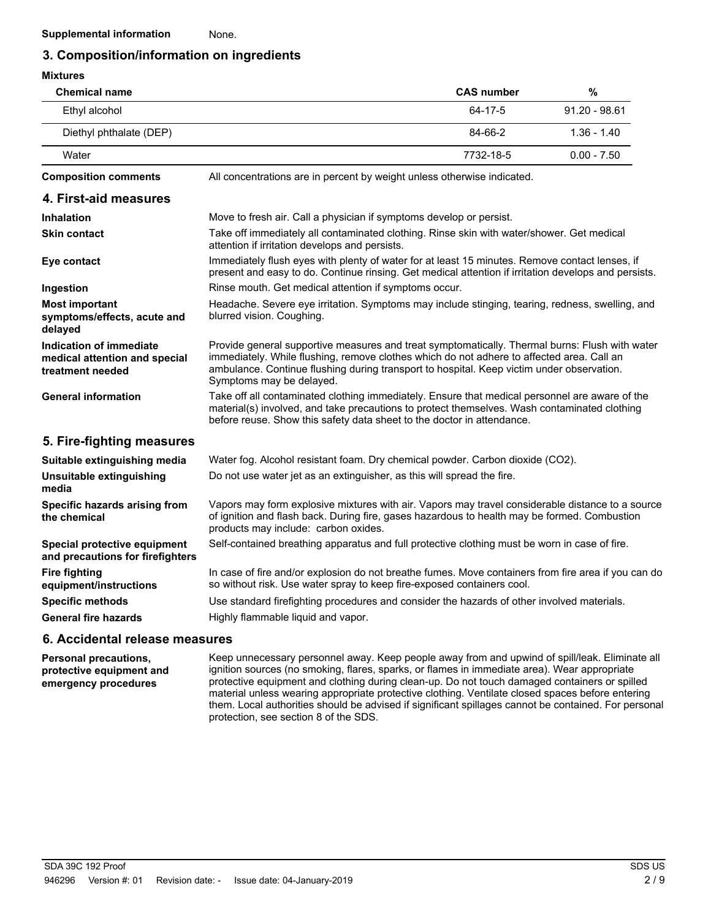### **3. Composition/information on ingredients**

| <b>Mixtures</b>                                                              |                                                                                                                                                                                                                                                                                                                      |                   |                 |
|------------------------------------------------------------------------------|----------------------------------------------------------------------------------------------------------------------------------------------------------------------------------------------------------------------------------------------------------------------------------------------------------------------|-------------------|-----------------|
| <b>Chemical name</b>                                                         |                                                                                                                                                                                                                                                                                                                      | <b>CAS number</b> | $\%$            |
| Ethyl alcohol                                                                |                                                                                                                                                                                                                                                                                                                      | 64-17-5           | $91.20 - 98.61$ |
| Diethyl phthalate (DEP)                                                      |                                                                                                                                                                                                                                                                                                                      | 84-66-2           | $1.36 - 1.40$   |
| Water                                                                        |                                                                                                                                                                                                                                                                                                                      | 7732-18-5         | $0.00 - 7.50$   |
| <b>Composition comments</b>                                                  | All concentrations are in percent by weight unless otherwise indicated.                                                                                                                                                                                                                                              |                   |                 |
| 4. First-aid measures                                                        |                                                                                                                                                                                                                                                                                                                      |                   |                 |
| <b>Inhalation</b>                                                            | Move to fresh air. Call a physician if symptoms develop or persist.                                                                                                                                                                                                                                                  |                   |                 |
| <b>Skin contact</b>                                                          | Take off immediately all contaminated clothing. Rinse skin with water/shower. Get medical<br>attention if irritation develops and persists.                                                                                                                                                                          |                   |                 |
| Eye contact                                                                  | Immediately flush eyes with plenty of water for at least 15 minutes. Remove contact lenses, if<br>present and easy to do. Continue rinsing. Get medical attention if irritation develops and persists.                                                                                                               |                   |                 |
| Ingestion                                                                    | Rinse mouth. Get medical attention if symptoms occur.                                                                                                                                                                                                                                                                |                   |                 |
| <b>Most important</b><br>symptoms/effects, acute and<br>delayed              | Headache. Severe eye irritation. Symptoms may include stinging, tearing, redness, swelling, and<br>blurred vision. Coughing.                                                                                                                                                                                         |                   |                 |
| Indication of immediate<br>medical attention and special<br>treatment needed | Provide general supportive measures and treat symptomatically. Thermal burns: Flush with water<br>immediately. While flushing, remove clothes which do not adhere to affected area. Call an<br>ambulance. Continue flushing during transport to hospital. Keep victim under observation.<br>Symptoms may be delayed. |                   |                 |
| <b>General information</b>                                                   | Take off all contaminated clothing immediately. Ensure that medical personnel are aware of the<br>material(s) involved, and take precautions to protect themselves. Wash contaminated clothing<br>before reuse. Show this safety data sheet to the doctor in attendance.                                             |                   |                 |
| 5. Fire-fighting measures                                                    |                                                                                                                                                                                                                                                                                                                      |                   |                 |
| Suitable extinguishing media                                                 | Water fog. Alcohol resistant foam. Dry chemical powder. Carbon dioxide (CO2).                                                                                                                                                                                                                                        |                   |                 |
| Unsuitable extinguishing<br>media                                            | Do not use water jet as an extinguisher, as this will spread the fire.                                                                                                                                                                                                                                               |                   |                 |
| Specific hazards arising from<br>the chemical                                | Vapors may form explosive mixtures with air. Vapors may travel considerable distance to a source<br>of ignition and flash back. During fire, gases hazardous to health may be formed. Combustion<br>products may include: carbon oxides.                                                                             |                   |                 |
| Special protective equipment<br>and precautions for firefighters             | Self-contained breathing apparatus and full protective clothing must be worn in case of fire.                                                                                                                                                                                                                        |                   |                 |
| <b>Fire fighting</b><br>equipment/instructions                               | In case of fire and/or explosion do not breathe fumes. Move containers from fire area if you can do<br>so without risk. Use water spray to keep fire-exposed containers cool.                                                                                                                                        |                   |                 |
| <b>Specific methods</b>                                                      | Use standard firefighting procedures and consider the hazards of other involved materials.                                                                                                                                                                                                                           |                   |                 |
| <b>General fire hazards</b>                                                  | Highly flammable liquid and vapor.                                                                                                                                                                                                                                                                                   |                   |                 |
| .                                                                            |                                                                                                                                                                                                                                                                                                                      |                   |                 |

#### **6. Accidental release measures**

**Personal precautions, protective equipment and emergency procedures**

Keep unnecessary personnel away. Keep people away from and upwind of spill/leak. Eliminate all ignition sources (no smoking, flares, sparks, or flames in immediate area). Wear appropriate protective equipment and clothing during clean-up. Do not touch damaged containers or spilled material unless wearing appropriate protective clothing. Ventilate closed spaces before entering them. Local authorities should be advised if significant spillages cannot be contained. For personal protection, see section 8 of the SDS.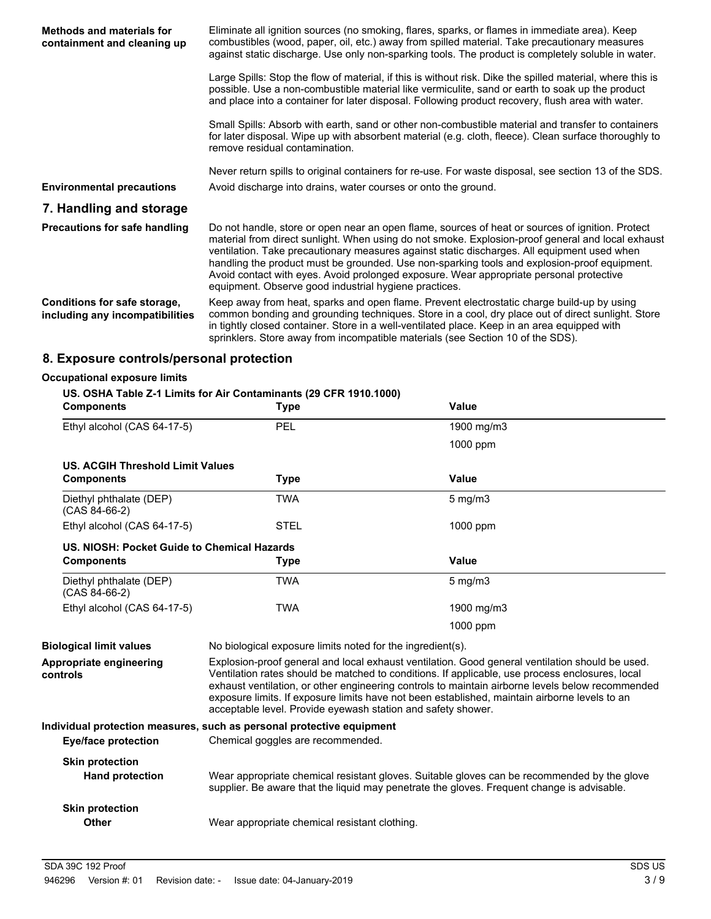| <b>Methods and materials for</b><br>containment and cleaning up | Eliminate all ignition sources (no smoking, flares, sparks, or flames in immediate area). Keep<br>combustibles (wood, paper, oil, etc.) away from spilled material. Take precautionary measures<br>against static discharge. Use only non-sparking tools. The product is completely soluble in water.                                                                                                                                                                                                                                                    |
|-----------------------------------------------------------------|----------------------------------------------------------------------------------------------------------------------------------------------------------------------------------------------------------------------------------------------------------------------------------------------------------------------------------------------------------------------------------------------------------------------------------------------------------------------------------------------------------------------------------------------------------|
|                                                                 | Large Spills: Stop the flow of material, if this is without risk. Dike the spilled material, where this is<br>possible. Use a non-combustible material like vermiculite, sand or earth to soak up the product<br>and place into a container for later disposal. Following product recovery, flush area with water.                                                                                                                                                                                                                                       |
|                                                                 | Small Spills: Absorb with earth, sand or other non-combustible material and transfer to containers<br>for later disposal. Wipe up with absorbent material (e.g. cloth, fleece). Clean surface thoroughly to<br>remove residual contamination.                                                                                                                                                                                                                                                                                                            |
| <b>Environmental precautions</b>                                | Never return spills to original containers for re-use. For waste disposal, see section 13 of the SDS.<br>Avoid discharge into drains, water courses or onto the ground.                                                                                                                                                                                                                                                                                                                                                                                  |
| 7. Handling and storage                                         |                                                                                                                                                                                                                                                                                                                                                                                                                                                                                                                                                          |
| <b>Precautions for safe handling</b>                            | Do not handle, store or open near an open flame, sources of heat or sources of ignition. Protect<br>material from direct sunlight. When using do not smoke. Explosion-proof general and local exhaust<br>ventilation. Take precautionary measures against static discharges. All equipment used when<br>handling the product must be grounded. Use non-sparking tools and explosion-proof equipment.<br>Avoid contact with eyes. Avoid prolonged exposure. Wear appropriate personal protective<br>equipment. Observe good industrial hygiene practices. |
| Conditions for safe storage,<br>including any incompatibilities | Keep away from heat, sparks and open flame. Prevent electrostatic charge build-up by using<br>common bonding and grounding techniques. Store in a cool, dry place out of direct sunlight. Store<br>in tightly closed container. Store in a well-ventilated place. Keep in an area equipped with<br>sprinklers. Store away from incompatible materials (see Section 10 of the SDS).                                                                                                                                                                       |

## **8. Exposure controls/personal protection**

#### **Occupational exposure limits**

#### **US. OSHA Table Z-1 Limits for Air Contaminants (29 CFR 1910.1000)**

| <b>Components</b>                                | <b>Type</b>                                                           | Value                                                                                                                                                                                                                                                                                                                                                                                                   |
|--------------------------------------------------|-----------------------------------------------------------------------|---------------------------------------------------------------------------------------------------------------------------------------------------------------------------------------------------------------------------------------------------------------------------------------------------------------------------------------------------------------------------------------------------------|
| Ethyl alcohol (CAS 64-17-5)                      | PEL                                                                   | 1900 mg/m3                                                                                                                                                                                                                                                                                                                                                                                              |
|                                                  |                                                                       | 1000 ppm                                                                                                                                                                                                                                                                                                                                                                                                |
| <b>US. ACGIH Threshold Limit Values</b>          |                                                                       |                                                                                                                                                                                                                                                                                                                                                                                                         |
| <b>Components</b>                                | <b>Type</b>                                                           | Value                                                                                                                                                                                                                                                                                                                                                                                                   |
| Diethyl phthalate (DEP)<br>$(CAS 84-66-2)$       | <b>TWA</b>                                                            | $5$ mg/m $3$                                                                                                                                                                                                                                                                                                                                                                                            |
| Ethyl alcohol (CAS 64-17-5)                      | <b>STEL</b>                                                           | 1000 ppm                                                                                                                                                                                                                                                                                                                                                                                                |
| US. NIOSH: Pocket Guide to Chemical Hazards      |                                                                       |                                                                                                                                                                                                                                                                                                                                                                                                         |
| <b>Components</b>                                | Type                                                                  | Value                                                                                                                                                                                                                                                                                                                                                                                                   |
| Diethyl phthalate (DEP)<br>$(CAS 84-66-2)$       | <b>TWA</b>                                                            | $5$ mg/m $3$                                                                                                                                                                                                                                                                                                                                                                                            |
| Ethyl alcohol (CAS 64-17-5)                      | <b>TWA</b>                                                            | 1900 mg/m3                                                                                                                                                                                                                                                                                                                                                                                              |
|                                                  |                                                                       | 1000 ppm                                                                                                                                                                                                                                                                                                                                                                                                |
| <b>Biological limit values</b>                   | No biological exposure limits noted for the ingredient(s).            |                                                                                                                                                                                                                                                                                                                                                                                                         |
| Appropriate engineering<br>controls              | acceptable level. Provide eyewash station and safety shower.          | Explosion-proof general and local exhaust ventilation. Good general ventilation should be used.<br>Ventilation rates should be matched to conditions. If applicable, use process enclosures, local<br>exhaust ventilation, or other engineering controls to maintain airborne levels below recommended<br>exposure limits. If exposure limits have not been established, maintain airborne levels to an |
|                                                  | Individual protection measures, such as personal protective equipment |                                                                                                                                                                                                                                                                                                                                                                                                         |
| <b>Eye/face protection</b>                       | Chemical goggles are recommended.                                     |                                                                                                                                                                                                                                                                                                                                                                                                         |
| <b>Skin protection</b><br><b>Hand protection</b> |                                                                       | Wear appropriate chemical resistant gloves. Suitable gloves can be recommended by the glove<br>supplier. Be aware that the liquid may penetrate the gloves. Frequent change is advisable.                                                                                                                                                                                                               |
| <b>Skin protection</b><br><b>Other</b>           | Wear appropriate chemical resistant clothing.                         |                                                                                                                                                                                                                                                                                                                                                                                                         |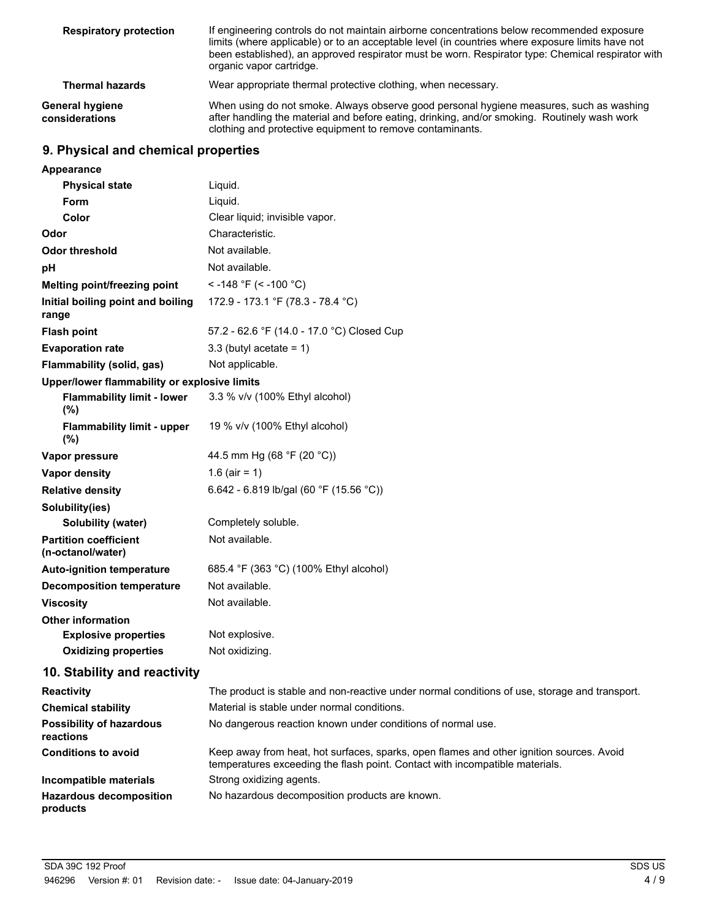| <b>Respiratory protection</b>            | If engineering controls do not maintain airborne concentrations below recommended exposure<br>limits (where applicable) or to an acceptable level (in countries where exposure limits have not<br>been established), an approved respirator must be worn. Respirator type: Chemical respirator with<br>organic vapor cartridge. |
|------------------------------------------|---------------------------------------------------------------------------------------------------------------------------------------------------------------------------------------------------------------------------------------------------------------------------------------------------------------------------------|
| <b>Thermal hazards</b>                   | Wear appropriate thermal protective clothing, when necessary.                                                                                                                                                                                                                                                                   |
| <b>General hygiene</b><br>considerations | When using do not smoke. Always observe good personal hygiene measures, such as washing<br>after handling the material and before eating, drinking, and/or smoking. Routinely wash work<br>clothing and protective equipment to remove contaminants.                                                                            |

# **9. Physical and chemical properties**

| <b>Appearance</b>                                 |                                                                                                                                                                          |
|---------------------------------------------------|--------------------------------------------------------------------------------------------------------------------------------------------------------------------------|
| <b>Physical state</b>                             | Liquid.                                                                                                                                                                  |
| <b>Form</b>                                       | Liquid.                                                                                                                                                                  |
| Color                                             | Clear liquid; invisible vapor.                                                                                                                                           |
| Odor                                              | Characteristic.                                                                                                                                                          |
| <b>Odor threshold</b>                             | Not available.                                                                                                                                                           |
| pH                                                | Not available.                                                                                                                                                           |
| Melting point/freezing point                      | < -148 °F (< -100 °C)                                                                                                                                                    |
| Initial boiling point and boiling<br>range        | 172.9 - 173.1 °F (78.3 - 78.4 °C)                                                                                                                                        |
| <b>Flash point</b>                                | 57.2 - 62.6 °F (14.0 - 17.0 °C) Closed Cup                                                                                                                               |
| <b>Evaporation rate</b>                           | 3.3 (butyl acetate = $1$ )                                                                                                                                               |
| Flammability (solid, gas)                         | Not applicable.                                                                                                                                                          |
| Upper/lower flammability or explosive limits      |                                                                                                                                                                          |
| <b>Flammability limit - lower</b><br>$(\%)$       | 3.3 % v/v (100% Ethyl alcohol)                                                                                                                                           |
| <b>Flammability limit - upper</b><br>(%)          | 19 % v/v (100% Ethyl alcohol)                                                                                                                                            |
| Vapor pressure                                    | 44.5 mm Hg (68 °F (20 °C))                                                                                                                                               |
| <b>Vapor density</b>                              | 1.6 (air = 1)                                                                                                                                                            |
| <b>Relative density</b>                           | 6.642 - 6.819 lb/gal (60 °F (15.56 °C))                                                                                                                                  |
| Solubility(ies)                                   |                                                                                                                                                                          |
| Solubility (water)                                | Completely soluble.                                                                                                                                                      |
| <b>Partition coefficient</b><br>(n-octanol/water) | Not available.                                                                                                                                                           |
| <b>Auto-ignition temperature</b>                  | 685.4 °F (363 °C) (100% Ethyl alcohol)                                                                                                                                   |
| <b>Decomposition temperature</b>                  | Not available.                                                                                                                                                           |
| <b>Viscosity</b>                                  | Not available.                                                                                                                                                           |
| <b>Other information</b>                          |                                                                                                                                                                          |
| <b>Explosive properties</b>                       | Not explosive.                                                                                                                                                           |
| <b>Oxidizing properties</b>                       | Not oxidizing.                                                                                                                                                           |
| 10. Stability and reactivity                      |                                                                                                                                                                          |
| <b>Reactivity</b>                                 | The product is stable and non-reactive under normal conditions of use, storage and transport.                                                                            |
| <b>Chemical stability</b>                         | Material is stable under normal conditions.                                                                                                                              |
| <b>Possibility of hazardous</b><br>reactions      | No dangerous reaction known under conditions of normal use.                                                                                                              |
| <b>Conditions to avoid</b>                        | Keep away from heat, hot surfaces, sparks, open flames and other ignition sources. Avoid<br>temperatures exceeding the flash point. Contact with incompatible materials. |
| Incompatible materials                            | Strong oxidizing agents.                                                                                                                                                 |
| <b>Hazardous decomposition</b><br>products        | No hazardous decomposition products are known.                                                                                                                           |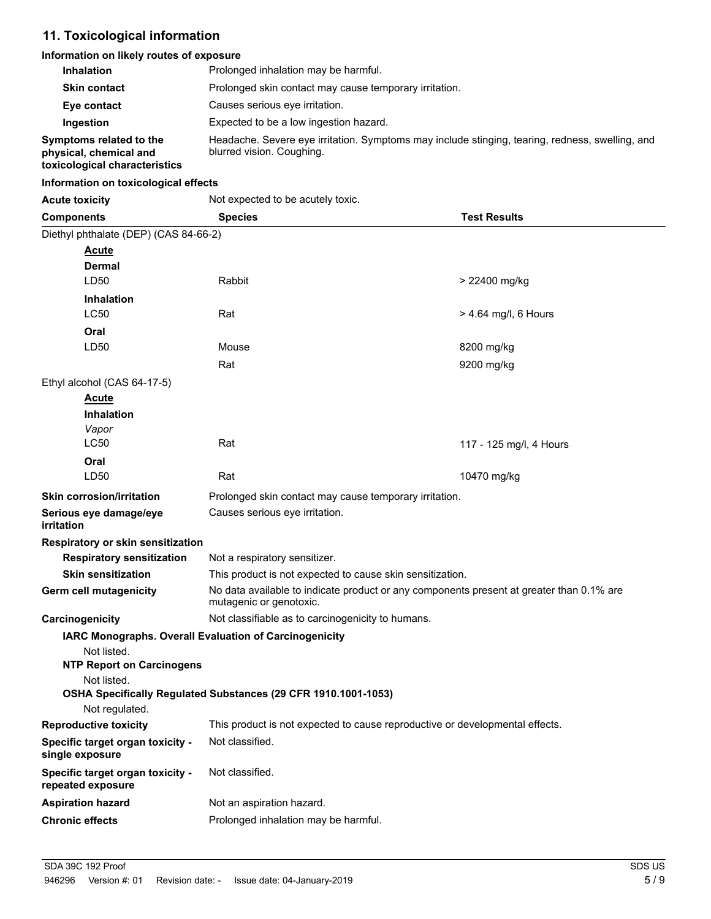# **11. Toxicological information**

### **Information on likely routes of exposure**

| <b>Inhalation</b>                                                                  | Prolonged inhalation may be harmful.                                                                                         |
|------------------------------------------------------------------------------------|------------------------------------------------------------------------------------------------------------------------------|
| <b>Skin contact</b>                                                                | Prolonged skin contact may cause temporary irritation.                                                                       |
| Eye contact                                                                        | Causes serious eve irritation.                                                                                               |
| Ingestion                                                                          | Expected to be a low ingestion hazard.                                                                                       |
| Symptoms related to the<br>physical, chemical and<br>toxicological characteristics | Headache. Severe eye irritation. Symptoms may include stinging, tearing, redness, swelling, and<br>blurred vision. Coughing. |

#### **Information on toxicological effects**

| <b>Acute toxicity</b>                                 | Not expected to be acutely toxic.                                                                                   |                         |
|-------------------------------------------------------|---------------------------------------------------------------------------------------------------------------------|-------------------------|
| <b>Components</b>                                     | <b>Species</b>                                                                                                      | <b>Test Results</b>     |
| Diethyl phthalate (DEP) (CAS 84-66-2)                 |                                                                                                                     |                         |
| <b>Acute</b>                                          |                                                                                                                     |                         |
| <b>Dermal</b>                                         |                                                                                                                     |                         |
| LD50                                                  | <b>Rabbit</b>                                                                                                       | > 22400 mg/kg           |
| <b>Inhalation</b>                                     |                                                                                                                     |                         |
| <b>LC50</b>                                           | Rat                                                                                                                 | > 4.64 mg/l, 6 Hours    |
| Oral                                                  |                                                                                                                     |                         |
| LD50                                                  | Mouse                                                                                                               | 8200 mg/kg              |
|                                                       | Rat                                                                                                                 | 9200 mg/kg              |
| Ethyl alcohol (CAS 64-17-5)                           |                                                                                                                     |                         |
| <b>Acute</b>                                          |                                                                                                                     |                         |
| <b>Inhalation</b>                                     |                                                                                                                     |                         |
| Vapor                                                 |                                                                                                                     |                         |
| <b>LC50</b>                                           | Rat                                                                                                                 | 117 - 125 mg/l, 4 Hours |
| Oral                                                  |                                                                                                                     |                         |
| LD50                                                  | Rat                                                                                                                 | 10470 mg/kg             |
| <b>Skin corrosion/irritation</b>                      | Prolonged skin contact may cause temporary irritation.                                                              |                         |
| Serious eye damage/eye<br><i>irritation</i>           | Causes serious eye irritation.                                                                                      |                         |
| Respiratory or skin sensitization                     |                                                                                                                     |                         |
| <b>Respiratory sensitization</b>                      | Not a respiratory sensitizer.                                                                                       |                         |
| <b>Skin sensitization</b>                             | This product is not expected to cause skin sensitization.                                                           |                         |
| Germ cell mutagenicity                                | No data available to indicate product or any components present at greater than 0.1% are<br>mutagenic or genotoxic. |                         |
| Carcinogenicity                                       | Not classifiable as to carcinogenicity to humans.                                                                   |                         |
|                                                       | IARC Monographs. Overall Evaluation of Carcinogenicity                                                              |                         |
| Not listed.                                           |                                                                                                                     |                         |
| <b>NTP Report on Carcinogens</b><br>Not listed.       |                                                                                                                     |                         |
|                                                       | OSHA Specifically Regulated Substances (29 CFR 1910.1001-1053)                                                      |                         |
| Not regulated.                                        |                                                                                                                     |                         |
| <b>Reproductive toxicity</b>                          | This product is not expected to cause reproductive or developmental effects.                                        |                         |
| Specific target organ toxicity -                      | Not classified.                                                                                                     |                         |
| single exposure                                       |                                                                                                                     |                         |
| Specific target organ toxicity -<br>repeated exposure | Not classified.                                                                                                     |                         |
| <b>Aspiration hazard</b>                              | Not an aspiration hazard.                                                                                           |                         |
| <b>Chronic effects</b>                                | Prolonged inhalation may be harmful.                                                                                |                         |
|                                                       |                                                                                                                     |                         |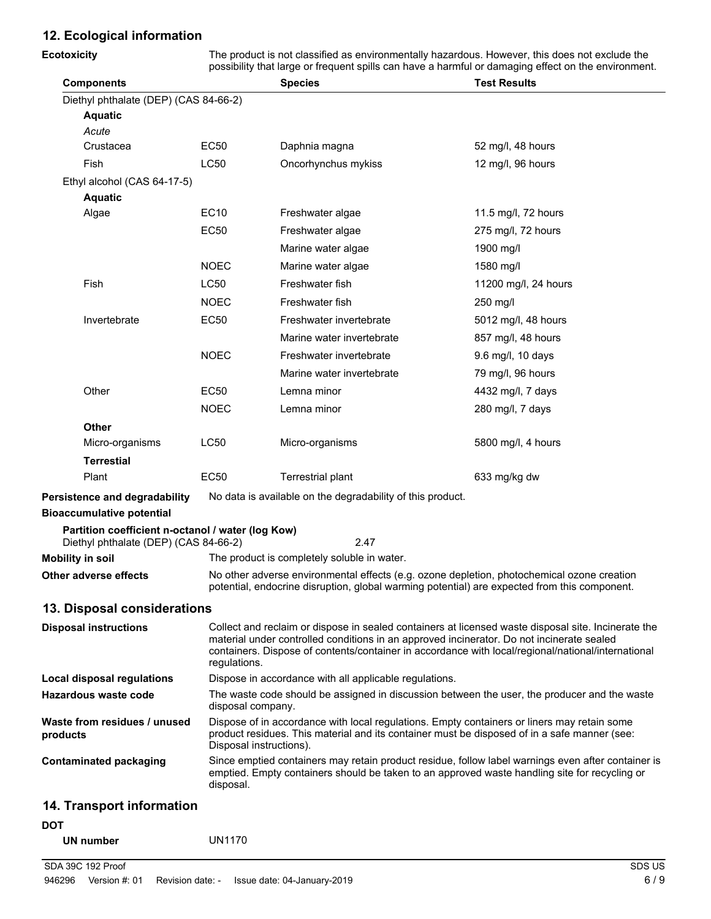# **12. Ecological information**

| <b>Ecotoxicity</b>                                                                         | The product is not classified as environmentally hazardous. However, this does not exclude the<br>possibility that large or frequent spills can have a harmful or damaging effect on the environment. |                                                                                                                                                                                                                                                                                                        |                      |
|--------------------------------------------------------------------------------------------|-------------------------------------------------------------------------------------------------------------------------------------------------------------------------------------------------------|--------------------------------------------------------------------------------------------------------------------------------------------------------------------------------------------------------------------------------------------------------------------------------------------------------|----------------------|
| <b>Components</b>                                                                          |                                                                                                                                                                                                       | <b>Species</b>                                                                                                                                                                                                                                                                                         | <b>Test Results</b>  |
| Diethyl phthalate (DEP) (CAS 84-66-2)                                                      |                                                                                                                                                                                                       |                                                                                                                                                                                                                                                                                                        |                      |
| <b>Aquatic</b>                                                                             |                                                                                                                                                                                                       |                                                                                                                                                                                                                                                                                                        |                      |
| Acute                                                                                      |                                                                                                                                                                                                       |                                                                                                                                                                                                                                                                                                        |                      |
| Crustacea                                                                                  | <b>EC50</b>                                                                                                                                                                                           | Daphnia magna                                                                                                                                                                                                                                                                                          | 52 mg/l, 48 hours    |
| <b>Fish</b>                                                                                | LC50                                                                                                                                                                                                  | Oncorhynchus mykiss                                                                                                                                                                                                                                                                                    | 12 mg/l, 96 hours    |
| Ethyl alcohol (CAS 64-17-5)                                                                |                                                                                                                                                                                                       |                                                                                                                                                                                                                                                                                                        |                      |
| <b>Aquatic</b><br>Algae                                                                    | <b>EC10</b>                                                                                                                                                                                           | Freshwater algae                                                                                                                                                                                                                                                                                       | 11.5 mg/l, 72 hours  |
|                                                                                            | <b>EC50</b>                                                                                                                                                                                           | Freshwater algae                                                                                                                                                                                                                                                                                       | 275 mg/l, 72 hours   |
|                                                                                            |                                                                                                                                                                                                       | Marine water algae                                                                                                                                                                                                                                                                                     | 1900 mg/l            |
|                                                                                            | <b>NOEC</b>                                                                                                                                                                                           |                                                                                                                                                                                                                                                                                                        |                      |
| Fish                                                                                       | <b>LC50</b>                                                                                                                                                                                           | Marine water algae<br>Freshwater fish                                                                                                                                                                                                                                                                  | 1580 mg/l            |
|                                                                                            |                                                                                                                                                                                                       |                                                                                                                                                                                                                                                                                                        | 11200 mg/l, 24 hours |
|                                                                                            | <b>NOEC</b>                                                                                                                                                                                           | Freshwater fish                                                                                                                                                                                                                                                                                        | 250 mg/l             |
| Invertebrate                                                                               | <b>EC50</b>                                                                                                                                                                                           | Freshwater invertebrate                                                                                                                                                                                                                                                                                | 5012 mg/l, 48 hours  |
|                                                                                            |                                                                                                                                                                                                       | Marine water invertebrate                                                                                                                                                                                                                                                                              | 857 mg/l, 48 hours   |
|                                                                                            | <b>NOEC</b>                                                                                                                                                                                           | Freshwater invertebrate                                                                                                                                                                                                                                                                                | 9.6 mg/l, 10 days    |
|                                                                                            |                                                                                                                                                                                                       | Marine water invertebrate                                                                                                                                                                                                                                                                              | 79 mg/l, 96 hours    |
| Other                                                                                      | <b>EC50</b>                                                                                                                                                                                           | Lemna minor                                                                                                                                                                                                                                                                                            | 4432 mg/l, 7 days    |
|                                                                                            | <b>NOEC</b>                                                                                                                                                                                           | Lemna minor                                                                                                                                                                                                                                                                                            | 280 mg/l, 7 days     |
| <b>Other</b>                                                                               |                                                                                                                                                                                                       |                                                                                                                                                                                                                                                                                                        |                      |
| Micro-organisms                                                                            | LC50                                                                                                                                                                                                  | Micro-organisms                                                                                                                                                                                                                                                                                        | 5800 mg/l, 4 hours   |
| <b>Terrestial</b>                                                                          |                                                                                                                                                                                                       |                                                                                                                                                                                                                                                                                                        |                      |
| Plant                                                                                      | EC50                                                                                                                                                                                                  | Terrestrial plant                                                                                                                                                                                                                                                                                      | 633 mg/kg dw         |
| Persistence and degradability                                                              |                                                                                                                                                                                                       | No data is available on the degradability of this product.                                                                                                                                                                                                                                             |                      |
| <b>Bioaccumulative potential</b>                                                           |                                                                                                                                                                                                       |                                                                                                                                                                                                                                                                                                        |                      |
| Partition coefficient n-octanol / water (log Kow)<br>Diethyl phthalate (DEP) (CAS 84-66-2) |                                                                                                                                                                                                       | 2.47                                                                                                                                                                                                                                                                                                   |                      |
| <b>Mobility in soil</b>                                                                    |                                                                                                                                                                                                       | The product is completely soluble in water.                                                                                                                                                                                                                                                            |                      |
| Other adverse effects                                                                      |                                                                                                                                                                                                       | No other adverse environmental effects (e.g. ozone depletion, photochemical ozone creation                                                                                                                                                                                                             |                      |
|                                                                                            |                                                                                                                                                                                                       | potential, endocrine disruption, global warming potential) are expected from this component.                                                                                                                                                                                                           |                      |
| 13. Disposal considerations                                                                |                                                                                                                                                                                                       |                                                                                                                                                                                                                                                                                                        |                      |
| <b>Disposal instructions</b>                                                               | regulations.                                                                                                                                                                                          | Collect and reclaim or dispose in sealed containers at licensed waste disposal site. Incinerate the<br>material under controlled conditions in an approved incinerator. Do not incinerate sealed<br>containers. Dispose of contents/container in accordance with local/regional/national/international |                      |
| <b>Local disposal regulations</b>                                                          |                                                                                                                                                                                                       | Dispose in accordance with all applicable regulations.                                                                                                                                                                                                                                                 |                      |
| Hazardous waste code                                                                       | disposal company.                                                                                                                                                                                     | The waste code should be assigned in discussion between the user, the producer and the waste                                                                                                                                                                                                           |                      |
| Waste from residues / unused<br>products                                                   | Disposal instructions).                                                                                                                                                                               | Dispose of in accordance with local regulations. Empty containers or liners may retain some<br>product residues. This material and its container must be disposed of in a safe manner (see:                                                                                                            |                      |
| <b>Contaminated packaging</b>                                                              |                                                                                                                                                                                                       | Since emptied containers may retain product residue, follow label warnings even after container is<br>emptied. Empty containers should be taken to an approved waste handling site for recycling or                                                                                                    |                      |

**UN number** UN1170

disposal.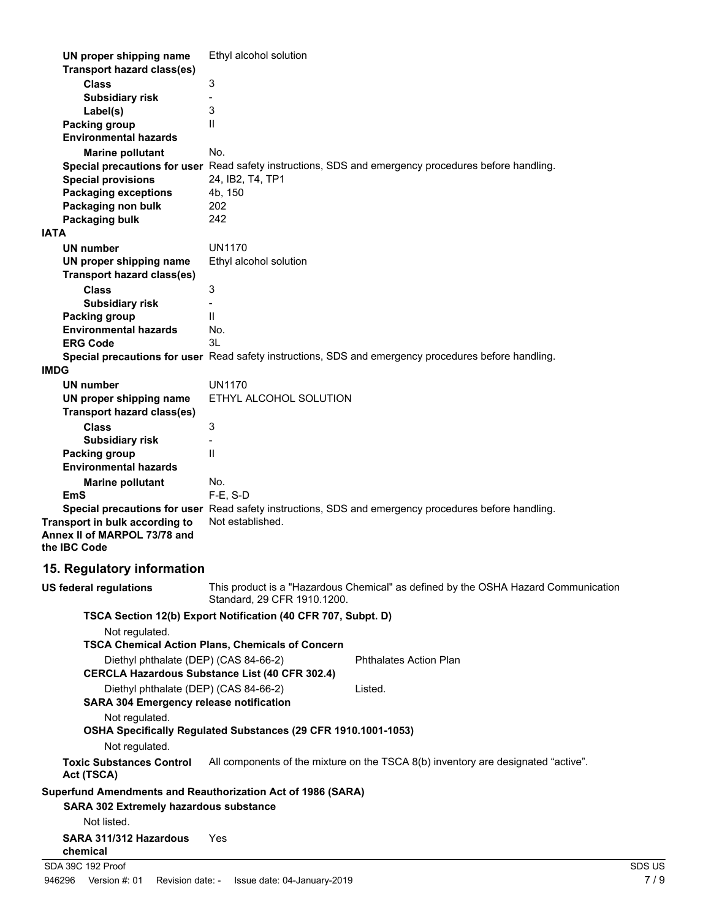| <b>Class</b><br>3<br><b>Subsidiary risk</b><br>3<br>Label(s)<br>$\mathbf{I}$<br><b>Packing group</b><br><b>Environmental hazards</b><br>No.<br><b>Marine pollutant</b><br>Special precautions for user Read safety instructions, SDS and emergency procedures before handling.<br><b>Special provisions</b><br>24, IB2, T4, TP1<br><b>Packaging exceptions</b><br>4b, 150<br>Packaging non bulk<br>202<br>242<br>Packaging bulk<br><b>IATA</b><br><b>UN1170</b><br><b>UN number</b><br>Ethyl alcohol solution<br>UN proper shipping name<br><b>Transport hazard class(es)</b><br><b>Class</b><br>3<br><b>Subsidiary risk</b><br>$\mathbf{I}$<br><b>Packing group</b><br><b>Environmental hazards</b><br>No.<br>3L<br><b>ERG Code</b><br>Special precautions for user Read safety instructions, SDS and emergency procedures before handling.<br><b>IMDG</b><br><b>UN1170</b><br><b>UN number</b><br>ETHYL ALCOHOL SOLUTION<br>UN proper shipping name<br><b>Transport hazard class(es)</b><br>3<br><b>Class</b><br><b>Subsidiary risk</b><br>Ш<br><b>Packing group</b><br><b>Environmental hazards</b><br>No.<br><b>Marine pollutant</b><br>$F-E$ , S-D<br><b>EmS</b><br>Special precautions for user Read safety instructions, SDS and emergency procedures before handling.<br>Not established.<br>Transport in bulk according to<br>Annex II of MARPOL 73/78 and<br>the IBC Code<br>15. Regulatory information<br>This product is a "Hazardous Chemical" as defined by the OSHA Hazard Communication<br>US federal regulations<br>Standard, 29 CFR 1910.1200.<br>TSCA Section 12(b) Export Notification (40 CFR 707, Subpt. D)<br>Not regulated.<br><b>TSCA Chemical Action Plans, Chemicals of Concern</b><br>Diethyl phthalate (DEP) (CAS 84-66-2)<br><b>Phthalates Action Plan</b><br><b>CERCLA Hazardous Substance List (40 CFR 302.4)</b><br>Diethyl phthalate (DEP) (CAS 84-66-2)<br>Listed.<br><b>SARA 304 Emergency release notification</b><br>Not regulated.<br>OSHA Specifically Regulated Substances (29 CFR 1910.1001-1053)<br>Not regulated.<br><b>Toxic Substances Control</b><br>All components of the mixture on the TSCA 8(b) inventory are designated "active".<br>Act (TSCA)<br>Superfund Amendments and Reauthorization Act of 1986 (SARA)<br>SARA 302 Extremely hazardous substance<br>Not listed.<br>SARA 311/312 Hazardous<br>Yes<br>chemical<br>SDA 39C 192 Proof<br>SDS US | UN proper shipping name           | Ethyl alcohol solution |  |
|---------------------------------------------------------------------------------------------------------------------------------------------------------------------------------------------------------------------------------------------------------------------------------------------------------------------------------------------------------------------------------------------------------------------------------------------------------------------------------------------------------------------------------------------------------------------------------------------------------------------------------------------------------------------------------------------------------------------------------------------------------------------------------------------------------------------------------------------------------------------------------------------------------------------------------------------------------------------------------------------------------------------------------------------------------------------------------------------------------------------------------------------------------------------------------------------------------------------------------------------------------------------------------------------------------------------------------------------------------------------------------------------------------------------------------------------------------------------------------------------------------------------------------------------------------------------------------------------------------------------------------------------------------------------------------------------------------------------------------------------------------------------------------------------------------------------------------------------------------------------------------------------------------------------------------------------------------------------------------------------------------------------------------------------------------------------------------------------------------------------------------------------------------------------------------------------------------------------------------------------------------------------------------------------------------------------------------------------------------------------------------------------------------|-----------------------------------|------------------------|--|
|                                                                                                                                                                                                                                                                                                                                                                                                                                                                                                                                                                                                                                                                                                                                                                                                                                                                                                                                                                                                                                                                                                                                                                                                                                                                                                                                                                                                                                                                                                                                                                                                                                                                                                                                                                                                                                                                                                                                                                                                                                                                                                                                                                                                                                                                                                                                                                                                         | <b>Transport hazard class(es)</b> |                        |  |
|                                                                                                                                                                                                                                                                                                                                                                                                                                                                                                                                                                                                                                                                                                                                                                                                                                                                                                                                                                                                                                                                                                                                                                                                                                                                                                                                                                                                                                                                                                                                                                                                                                                                                                                                                                                                                                                                                                                                                                                                                                                                                                                                                                                                                                                                                                                                                                                                         |                                   |                        |  |
|                                                                                                                                                                                                                                                                                                                                                                                                                                                                                                                                                                                                                                                                                                                                                                                                                                                                                                                                                                                                                                                                                                                                                                                                                                                                                                                                                                                                                                                                                                                                                                                                                                                                                                                                                                                                                                                                                                                                                                                                                                                                                                                                                                                                                                                                                                                                                                                                         |                                   |                        |  |
|                                                                                                                                                                                                                                                                                                                                                                                                                                                                                                                                                                                                                                                                                                                                                                                                                                                                                                                                                                                                                                                                                                                                                                                                                                                                                                                                                                                                                                                                                                                                                                                                                                                                                                                                                                                                                                                                                                                                                                                                                                                                                                                                                                                                                                                                                                                                                                                                         |                                   |                        |  |
|                                                                                                                                                                                                                                                                                                                                                                                                                                                                                                                                                                                                                                                                                                                                                                                                                                                                                                                                                                                                                                                                                                                                                                                                                                                                                                                                                                                                                                                                                                                                                                                                                                                                                                                                                                                                                                                                                                                                                                                                                                                                                                                                                                                                                                                                                                                                                                                                         |                                   |                        |  |
|                                                                                                                                                                                                                                                                                                                                                                                                                                                                                                                                                                                                                                                                                                                                                                                                                                                                                                                                                                                                                                                                                                                                                                                                                                                                                                                                                                                                                                                                                                                                                                                                                                                                                                                                                                                                                                                                                                                                                                                                                                                                                                                                                                                                                                                                                                                                                                                                         |                                   |                        |  |
|                                                                                                                                                                                                                                                                                                                                                                                                                                                                                                                                                                                                                                                                                                                                                                                                                                                                                                                                                                                                                                                                                                                                                                                                                                                                                                                                                                                                                                                                                                                                                                                                                                                                                                                                                                                                                                                                                                                                                                                                                                                                                                                                                                                                                                                                                                                                                                                                         |                                   |                        |  |
|                                                                                                                                                                                                                                                                                                                                                                                                                                                                                                                                                                                                                                                                                                                                                                                                                                                                                                                                                                                                                                                                                                                                                                                                                                                                                                                                                                                                                                                                                                                                                                                                                                                                                                                                                                                                                                                                                                                                                                                                                                                                                                                                                                                                                                                                                                                                                                                                         |                                   |                        |  |
|                                                                                                                                                                                                                                                                                                                                                                                                                                                                                                                                                                                                                                                                                                                                                                                                                                                                                                                                                                                                                                                                                                                                                                                                                                                                                                                                                                                                                                                                                                                                                                                                                                                                                                                                                                                                                                                                                                                                                                                                                                                                                                                                                                                                                                                                                                                                                                                                         |                                   |                        |  |
|                                                                                                                                                                                                                                                                                                                                                                                                                                                                                                                                                                                                                                                                                                                                                                                                                                                                                                                                                                                                                                                                                                                                                                                                                                                                                                                                                                                                                                                                                                                                                                                                                                                                                                                                                                                                                                                                                                                                                                                                                                                                                                                                                                                                                                                                                                                                                                                                         |                                   |                        |  |
|                                                                                                                                                                                                                                                                                                                                                                                                                                                                                                                                                                                                                                                                                                                                                                                                                                                                                                                                                                                                                                                                                                                                                                                                                                                                                                                                                                                                                                                                                                                                                                                                                                                                                                                                                                                                                                                                                                                                                                                                                                                                                                                                                                                                                                                                                                                                                                                                         |                                   |                        |  |
|                                                                                                                                                                                                                                                                                                                                                                                                                                                                                                                                                                                                                                                                                                                                                                                                                                                                                                                                                                                                                                                                                                                                                                                                                                                                                                                                                                                                                                                                                                                                                                                                                                                                                                                                                                                                                                                                                                                                                                                                                                                                                                                                                                                                                                                                                                                                                                                                         |                                   |                        |  |
|                                                                                                                                                                                                                                                                                                                                                                                                                                                                                                                                                                                                                                                                                                                                                                                                                                                                                                                                                                                                                                                                                                                                                                                                                                                                                                                                                                                                                                                                                                                                                                                                                                                                                                                                                                                                                                                                                                                                                                                                                                                                                                                                                                                                                                                                                                                                                                                                         |                                   |                        |  |
|                                                                                                                                                                                                                                                                                                                                                                                                                                                                                                                                                                                                                                                                                                                                                                                                                                                                                                                                                                                                                                                                                                                                                                                                                                                                                                                                                                                                                                                                                                                                                                                                                                                                                                                                                                                                                                                                                                                                                                                                                                                                                                                                                                                                                                                                                                                                                                                                         |                                   |                        |  |
|                                                                                                                                                                                                                                                                                                                                                                                                                                                                                                                                                                                                                                                                                                                                                                                                                                                                                                                                                                                                                                                                                                                                                                                                                                                                                                                                                                                                                                                                                                                                                                                                                                                                                                                                                                                                                                                                                                                                                                                                                                                                                                                                                                                                                                                                                                                                                                                                         |                                   |                        |  |
|                                                                                                                                                                                                                                                                                                                                                                                                                                                                                                                                                                                                                                                                                                                                                                                                                                                                                                                                                                                                                                                                                                                                                                                                                                                                                                                                                                                                                                                                                                                                                                                                                                                                                                                                                                                                                                                                                                                                                                                                                                                                                                                                                                                                                                                                                                                                                                                                         |                                   |                        |  |
|                                                                                                                                                                                                                                                                                                                                                                                                                                                                                                                                                                                                                                                                                                                                                                                                                                                                                                                                                                                                                                                                                                                                                                                                                                                                                                                                                                                                                                                                                                                                                                                                                                                                                                                                                                                                                                                                                                                                                                                                                                                                                                                                                                                                                                                                                                                                                                                                         |                                   |                        |  |
|                                                                                                                                                                                                                                                                                                                                                                                                                                                                                                                                                                                                                                                                                                                                                                                                                                                                                                                                                                                                                                                                                                                                                                                                                                                                                                                                                                                                                                                                                                                                                                                                                                                                                                                                                                                                                                                                                                                                                                                                                                                                                                                                                                                                                                                                                                                                                                                                         |                                   |                        |  |
|                                                                                                                                                                                                                                                                                                                                                                                                                                                                                                                                                                                                                                                                                                                                                                                                                                                                                                                                                                                                                                                                                                                                                                                                                                                                                                                                                                                                                                                                                                                                                                                                                                                                                                                                                                                                                                                                                                                                                                                                                                                                                                                                                                                                                                                                                                                                                                                                         |                                   |                        |  |
|                                                                                                                                                                                                                                                                                                                                                                                                                                                                                                                                                                                                                                                                                                                                                                                                                                                                                                                                                                                                                                                                                                                                                                                                                                                                                                                                                                                                                                                                                                                                                                                                                                                                                                                                                                                                                                                                                                                                                                                                                                                                                                                                                                                                                                                                                                                                                                                                         |                                   |                        |  |
|                                                                                                                                                                                                                                                                                                                                                                                                                                                                                                                                                                                                                                                                                                                                                                                                                                                                                                                                                                                                                                                                                                                                                                                                                                                                                                                                                                                                                                                                                                                                                                                                                                                                                                                                                                                                                                                                                                                                                                                                                                                                                                                                                                                                                                                                                                                                                                                                         |                                   |                        |  |
|                                                                                                                                                                                                                                                                                                                                                                                                                                                                                                                                                                                                                                                                                                                                                                                                                                                                                                                                                                                                                                                                                                                                                                                                                                                                                                                                                                                                                                                                                                                                                                                                                                                                                                                                                                                                                                                                                                                                                                                                                                                                                                                                                                                                                                                                                                                                                                                                         |                                   |                        |  |
|                                                                                                                                                                                                                                                                                                                                                                                                                                                                                                                                                                                                                                                                                                                                                                                                                                                                                                                                                                                                                                                                                                                                                                                                                                                                                                                                                                                                                                                                                                                                                                                                                                                                                                                                                                                                                                                                                                                                                                                                                                                                                                                                                                                                                                                                                                                                                                                                         |                                   |                        |  |
|                                                                                                                                                                                                                                                                                                                                                                                                                                                                                                                                                                                                                                                                                                                                                                                                                                                                                                                                                                                                                                                                                                                                                                                                                                                                                                                                                                                                                                                                                                                                                                                                                                                                                                                                                                                                                                                                                                                                                                                                                                                                                                                                                                                                                                                                                                                                                                                                         |                                   |                        |  |
|                                                                                                                                                                                                                                                                                                                                                                                                                                                                                                                                                                                                                                                                                                                                                                                                                                                                                                                                                                                                                                                                                                                                                                                                                                                                                                                                                                                                                                                                                                                                                                                                                                                                                                                                                                                                                                                                                                                                                                                                                                                                                                                                                                                                                                                                                                                                                                                                         |                                   |                        |  |
|                                                                                                                                                                                                                                                                                                                                                                                                                                                                                                                                                                                                                                                                                                                                                                                                                                                                                                                                                                                                                                                                                                                                                                                                                                                                                                                                                                                                                                                                                                                                                                                                                                                                                                                                                                                                                                                                                                                                                                                                                                                                                                                                                                                                                                                                                                                                                                                                         |                                   |                        |  |
|                                                                                                                                                                                                                                                                                                                                                                                                                                                                                                                                                                                                                                                                                                                                                                                                                                                                                                                                                                                                                                                                                                                                                                                                                                                                                                                                                                                                                                                                                                                                                                                                                                                                                                                                                                                                                                                                                                                                                                                                                                                                                                                                                                                                                                                                                                                                                                                                         |                                   |                        |  |
|                                                                                                                                                                                                                                                                                                                                                                                                                                                                                                                                                                                                                                                                                                                                                                                                                                                                                                                                                                                                                                                                                                                                                                                                                                                                                                                                                                                                                                                                                                                                                                                                                                                                                                                                                                                                                                                                                                                                                                                                                                                                                                                                                                                                                                                                                                                                                                                                         |                                   |                        |  |
|                                                                                                                                                                                                                                                                                                                                                                                                                                                                                                                                                                                                                                                                                                                                                                                                                                                                                                                                                                                                                                                                                                                                                                                                                                                                                                                                                                                                                                                                                                                                                                                                                                                                                                                                                                                                                                                                                                                                                                                                                                                                                                                                                                                                                                                                                                                                                                                                         |                                   |                        |  |
|                                                                                                                                                                                                                                                                                                                                                                                                                                                                                                                                                                                                                                                                                                                                                                                                                                                                                                                                                                                                                                                                                                                                                                                                                                                                                                                                                                                                                                                                                                                                                                                                                                                                                                                                                                                                                                                                                                                                                                                                                                                                                                                                                                                                                                                                                                                                                                                                         |                                   |                        |  |
|                                                                                                                                                                                                                                                                                                                                                                                                                                                                                                                                                                                                                                                                                                                                                                                                                                                                                                                                                                                                                                                                                                                                                                                                                                                                                                                                                                                                                                                                                                                                                                                                                                                                                                                                                                                                                                                                                                                                                                                                                                                                                                                                                                                                                                                                                                                                                                                                         |                                   |                        |  |
|                                                                                                                                                                                                                                                                                                                                                                                                                                                                                                                                                                                                                                                                                                                                                                                                                                                                                                                                                                                                                                                                                                                                                                                                                                                                                                                                                                                                                                                                                                                                                                                                                                                                                                                                                                                                                                                                                                                                                                                                                                                                                                                                                                                                                                                                                                                                                                                                         |                                   |                        |  |
|                                                                                                                                                                                                                                                                                                                                                                                                                                                                                                                                                                                                                                                                                                                                                                                                                                                                                                                                                                                                                                                                                                                                                                                                                                                                                                                                                                                                                                                                                                                                                                                                                                                                                                                                                                                                                                                                                                                                                                                                                                                                                                                                                                                                                                                                                                                                                                                                         |                                   |                        |  |
|                                                                                                                                                                                                                                                                                                                                                                                                                                                                                                                                                                                                                                                                                                                                                                                                                                                                                                                                                                                                                                                                                                                                                                                                                                                                                                                                                                                                                                                                                                                                                                                                                                                                                                                                                                                                                                                                                                                                                                                                                                                                                                                                                                                                                                                                                                                                                                                                         |                                   |                        |  |
|                                                                                                                                                                                                                                                                                                                                                                                                                                                                                                                                                                                                                                                                                                                                                                                                                                                                                                                                                                                                                                                                                                                                                                                                                                                                                                                                                                                                                                                                                                                                                                                                                                                                                                                                                                                                                                                                                                                                                                                                                                                                                                                                                                                                                                                                                                                                                                                                         |                                   |                        |  |
|                                                                                                                                                                                                                                                                                                                                                                                                                                                                                                                                                                                                                                                                                                                                                                                                                                                                                                                                                                                                                                                                                                                                                                                                                                                                                                                                                                                                                                                                                                                                                                                                                                                                                                                                                                                                                                                                                                                                                                                                                                                                                                                                                                                                                                                                                                                                                                                                         |                                   |                        |  |
|                                                                                                                                                                                                                                                                                                                                                                                                                                                                                                                                                                                                                                                                                                                                                                                                                                                                                                                                                                                                                                                                                                                                                                                                                                                                                                                                                                                                                                                                                                                                                                                                                                                                                                                                                                                                                                                                                                                                                                                                                                                                                                                                                                                                                                                                                                                                                                                                         |                                   |                        |  |
|                                                                                                                                                                                                                                                                                                                                                                                                                                                                                                                                                                                                                                                                                                                                                                                                                                                                                                                                                                                                                                                                                                                                                                                                                                                                                                                                                                                                                                                                                                                                                                                                                                                                                                                                                                                                                                                                                                                                                                                                                                                                                                                                                                                                                                                                                                                                                                                                         |                                   |                        |  |
|                                                                                                                                                                                                                                                                                                                                                                                                                                                                                                                                                                                                                                                                                                                                                                                                                                                                                                                                                                                                                                                                                                                                                                                                                                                                                                                                                                                                                                                                                                                                                                                                                                                                                                                                                                                                                                                                                                                                                                                                                                                                                                                                                                                                                                                                                                                                                                                                         |                                   |                        |  |
|                                                                                                                                                                                                                                                                                                                                                                                                                                                                                                                                                                                                                                                                                                                                                                                                                                                                                                                                                                                                                                                                                                                                                                                                                                                                                                                                                                                                                                                                                                                                                                                                                                                                                                                                                                                                                                                                                                                                                                                                                                                                                                                                                                                                                                                                                                                                                                                                         |                                   |                        |  |
|                                                                                                                                                                                                                                                                                                                                                                                                                                                                                                                                                                                                                                                                                                                                                                                                                                                                                                                                                                                                                                                                                                                                                                                                                                                                                                                                                                                                                                                                                                                                                                                                                                                                                                                                                                                                                                                                                                                                                                                                                                                                                                                                                                                                                                                                                                                                                                                                         |                                   |                        |  |
|                                                                                                                                                                                                                                                                                                                                                                                                                                                                                                                                                                                                                                                                                                                                                                                                                                                                                                                                                                                                                                                                                                                                                                                                                                                                                                                                                                                                                                                                                                                                                                                                                                                                                                                                                                                                                                                                                                                                                                                                                                                                                                                                                                                                                                                                                                                                                                                                         |                                   |                        |  |
|                                                                                                                                                                                                                                                                                                                                                                                                                                                                                                                                                                                                                                                                                                                                                                                                                                                                                                                                                                                                                                                                                                                                                                                                                                                                                                                                                                                                                                                                                                                                                                                                                                                                                                                                                                                                                                                                                                                                                                                                                                                                                                                                                                                                                                                                                                                                                                                                         |                                   |                        |  |
|                                                                                                                                                                                                                                                                                                                                                                                                                                                                                                                                                                                                                                                                                                                                                                                                                                                                                                                                                                                                                                                                                                                                                                                                                                                                                                                                                                                                                                                                                                                                                                                                                                                                                                                                                                                                                                                                                                                                                                                                                                                                                                                                                                                                                                                                                                                                                                                                         |                                   |                        |  |
|                                                                                                                                                                                                                                                                                                                                                                                                                                                                                                                                                                                                                                                                                                                                                                                                                                                                                                                                                                                                                                                                                                                                                                                                                                                                                                                                                                                                                                                                                                                                                                                                                                                                                                                                                                                                                                                                                                                                                                                                                                                                                                                                                                                                                                                                                                                                                                                                         |                                   |                        |  |
|                                                                                                                                                                                                                                                                                                                                                                                                                                                                                                                                                                                                                                                                                                                                                                                                                                                                                                                                                                                                                                                                                                                                                                                                                                                                                                                                                                                                                                                                                                                                                                                                                                                                                                                                                                                                                                                                                                                                                                                                                                                                                                                                                                                                                                                                                                                                                                                                         |                                   |                        |  |
|                                                                                                                                                                                                                                                                                                                                                                                                                                                                                                                                                                                                                                                                                                                                                                                                                                                                                                                                                                                                                                                                                                                                                                                                                                                                                                                                                                                                                                                                                                                                                                                                                                                                                                                                                                                                                                                                                                                                                                                                                                                                                                                                                                                                                                                                                                                                                                                                         |                                   |                        |  |
|                                                                                                                                                                                                                                                                                                                                                                                                                                                                                                                                                                                                                                                                                                                                                                                                                                                                                                                                                                                                                                                                                                                                                                                                                                                                                                                                                                                                                                                                                                                                                                                                                                                                                                                                                                                                                                                                                                                                                                                                                                                                                                                                                                                                                                                                                                                                                                                                         |                                   |                        |  |
|                                                                                                                                                                                                                                                                                                                                                                                                                                                                                                                                                                                                                                                                                                                                                                                                                                                                                                                                                                                                                                                                                                                                                                                                                                                                                                                                                                                                                                                                                                                                                                                                                                                                                                                                                                                                                                                                                                                                                                                                                                                                                                                                                                                                                                                                                                                                                                                                         |                                   |                        |  |
|                                                                                                                                                                                                                                                                                                                                                                                                                                                                                                                                                                                                                                                                                                                                                                                                                                                                                                                                                                                                                                                                                                                                                                                                                                                                                                                                                                                                                                                                                                                                                                                                                                                                                                                                                                                                                                                                                                                                                                                                                                                                                                                                                                                                                                                                                                                                                                                                         |                                   |                        |  |
|                                                                                                                                                                                                                                                                                                                                                                                                                                                                                                                                                                                                                                                                                                                                                                                                                                                                                                                                                                                                                                                                                                                                                                                                                                                                                                                                                                                                                                                                                                                                                                                                                                                                                                                                                                                                                                                                                                                                                                                                                                                                                                                                                                                                                                                                                                                                                                                                         |                                   |                        |  |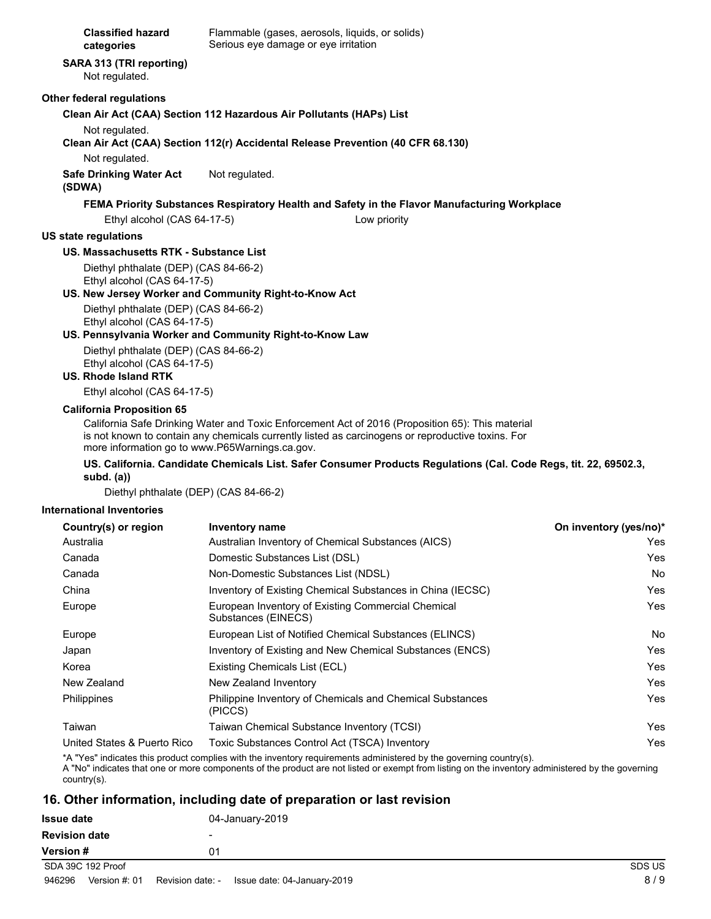| <b>Classified hazard</b> |  |
|--------------------------|--|
| categories               |  |

Flammable (gases, aerosols, liquids, or solids) Serious eye damage or eye irritation

# **SARA 313 (TRI reporting)**

Not regulated.

#### **Other federal regulations**

#### **Clean Air Act (CAA) Section 112 Hazardous Air Pollutants (HAPs) List**

Not regulated.

**Clean Air Act (CAA) Section 112(r) Accidental Release Prevention (40 CFR 68.130)**

Not regulated.

#### **Safe Drinking Water Act** Not regulated.

#### **(SDWA)**

## **FEMA Priority Substances Respiratory Health and Safety in the Flavor Manufacturing Workplace**

Ethyl alcohol (CAS 64-17-5) Low priority

### **US state regulations**

### **US. Massachusetts RTK - Substance List**

Diethyl phthalate (DEP) (CAS 84-66-2) Ethyl alcohol (CAS 64-17-5)

### **US. New Jersey Worker and Community Right-to-Know Act**

Diethyl phthalate (DEP) (CAS 84-66-2) Ethyl alcohol (CAS 64-17-5)

### **US. Pennsylvania Worker and Community Right-to-Know Law**

Diethyl phthalate (DEP) (CAS 84-66-2) Ethyl alcohol (CAS 64-17-5)

#### **US. Rhode Island RTK**

Ethyl alcohol (CAS 64-17-5)

#### **California Proposition 65**

California Safe Drinking Water and Toxic Enforcement Act of 2016 (Proposition 65): This material is not known to contain any chemicals currently listed as carcinogens or reproductive toxins. For more information go to www.P65Warnings.ca.gov.

#### **US. California. Candidate Chemicals List. Safer Consumer Products Regulations (Cal. Code Regs, tit. 22, 69502.3, subd. (a))**

Diethyl phthalate (DEP) (CAS 84-66-2)

#### **International Inventories**

| Country(s) or region        | <b>Inventory name</b>                                                     | On inventory (yes/no)* |
|-----------------------------|---------------------------------------------------------------------------|------------------------|
| Australia                   | Australian Inventory of Chemical Substances (AICS)                        | Yes.                   |
| Canada                      | Domestic Substances List (DSL)                                            | Yes                    |
| Canada                      | Non-Domestic Substances List (NDSL)                                       | No.                    |
| China                       | Inventory of Existing Chemical Substances in China (IECSC)                | Yes                    |
| Europe                      | European Inventory of Existing Commercial Chemical<br>Substances (EINECS) | Yes.                   |
| Europe                      | European List of Notified Chemical Substances (ELINCS)                    | No.                    |
| Japan                       | Inventory of Existing and New Chemical Substances (ENCS)                  | Yes                    |
| Korea                       | Existing Chemicals List (ECL)                                             | Yes                    |
| New Zealand                 | New Zealand Inventory                                                     | Yes                    |
| <b>Philippines</b>          | Philippine Inventory of Chemicals and Chemical Substances<br>(PICCS)      | Yes.                   |
| Taiwan                      | Taiwan Chemical Substance Inventory (TCSI)                                | Yes.                   |
| United States & Puerto Rico | Toxic Substances Control Act (TSCA) Inventory                             | Yes                    |

\*A "Yes" indicates this product complies with the inventory requirements administered by the governing country(s).

A "No" indicates that one or more components of the product are not listed or exempt from listing on the inventory administered by the governing country(s).

## **16. Other information, including date of preparation or last revision**

| Issue date           | 04-January-2019          |               |
|----------------------|--------------------------|---------------|
| <b>Revision date</b> | $\overline{\phantom{0}}$ |               |
| Version #            | 01                       |               |
| SDA 39C 192 Proof    |                          | SDS US        |
|                      |                          | $\sim$ $\sim$ |